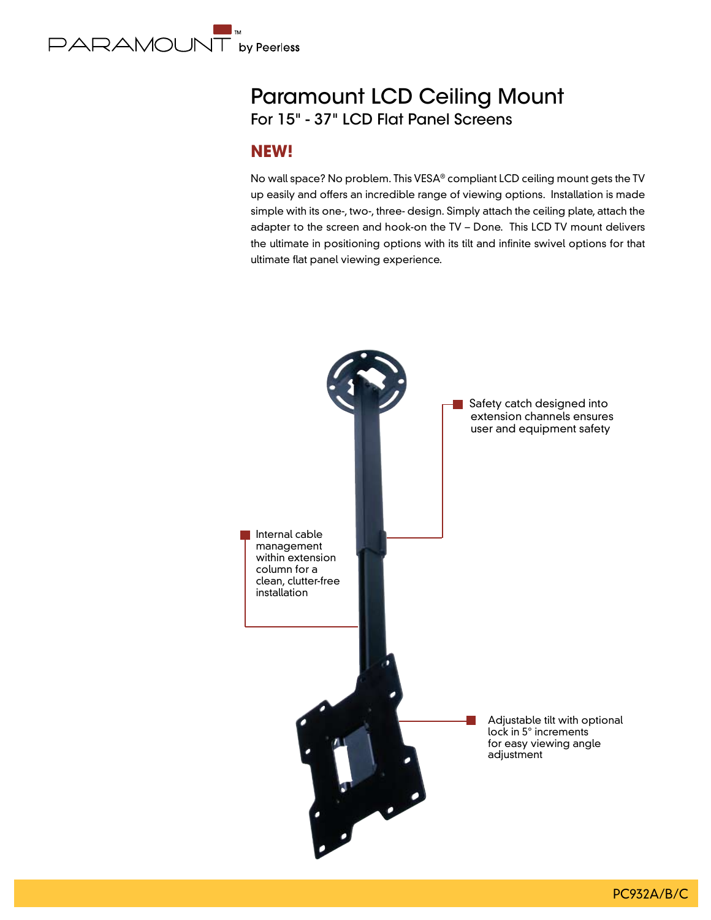

# Paramount LCD Ceiling Mount For 15" - 37" LCD Flat Panel Screens

### **NEW!**

No wall space? No problem. This VESA® compliant LCD ceiling mount gets the TV up easily and offers an incredible range of viewing options. Installation is made simple with its one-, two-, three- design. Simply attach the ceiling plate, attach the adapter to the screen and hook-on the TV – Done. This LCD TV mount delivers the ultimate in positioning options with its tilt and infinite swivel options for that ultimate flat panel viewing experience.